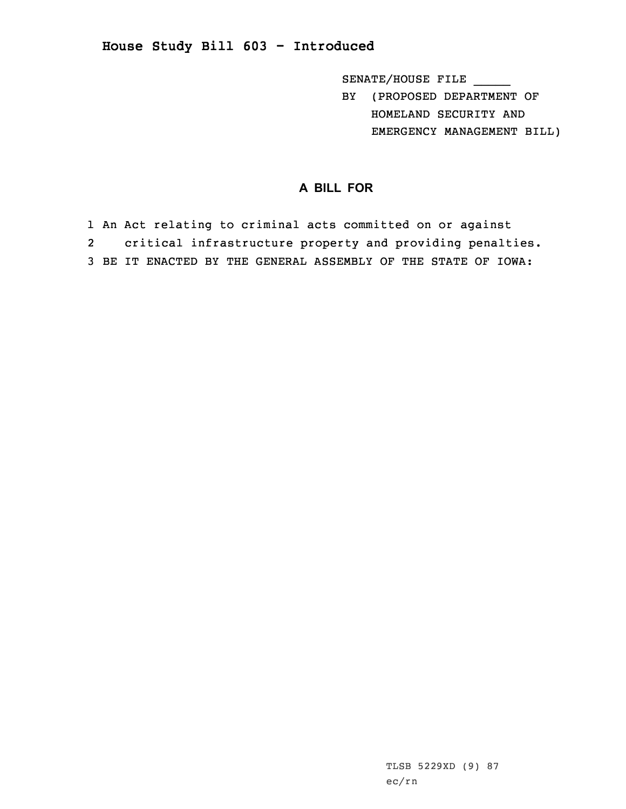**House Study Bill 603 - Introduced**

SENATE/HOUSE FILE \_\_\_\_\_

BY (PROPOSED DEPARTMENT OF HOMELAND SECURITY AND EMERGENCY MANAGEMENT BILL)

## **A BILL FOR**

1 An Act relating to criminal acts committed on or against 2 critical infrastructure property and providing penalties. 3 BE IT ENACTED BY THE GENERAL ASSEMBLY OF THE STATE OF IOWA: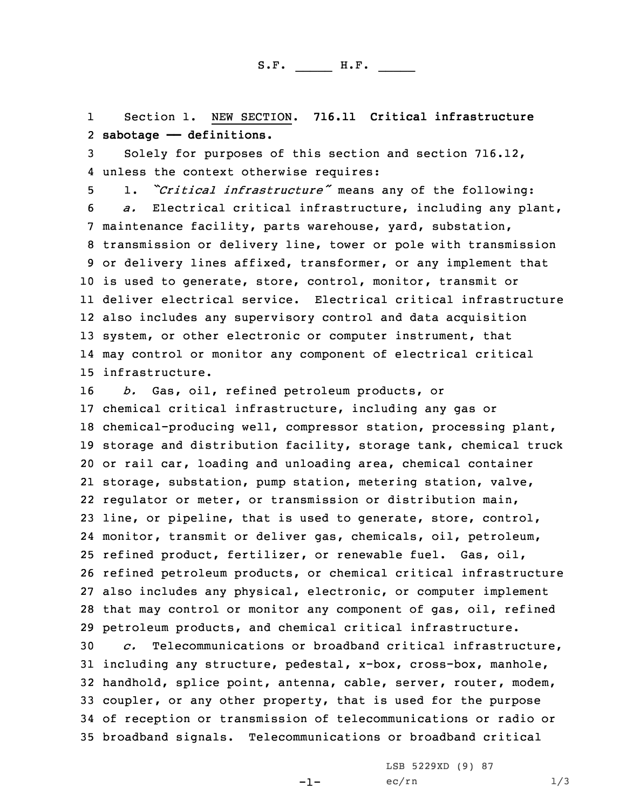1 Section 1. NEW SECTION. **716.11 Critical infrastructure** 2 **sabotage —— definitions.**

3 Solely for purposes of this section and section 716.12, 4 unless the context otherwise requires:

 1. *"Critical infrastructure"* means any of the following: *a.* Electrical critical infrastructure, including any plant, maintenance facility, parts warehouse, yard, substation, transmission or delivery line, tower or pole with transmission or delivery lines affixed, transformer, or any implement that is used to generate, store, control, monitor, transmit or deliver electrical service. Electrical critical infrastructure also includes any supervisory control and data acquisition system, or other electronic or computer instrument, that may control or monitor any component of electrical critical infrastructure.

 *b.* Gas, oil, refined petroleum products, or chemical critical infrastructure, including any gas or chemical-producing well, compressor station, processing plant, storage and distribution facility, storage tank, chemical truck or rail car, loading and unloading area, chemical container storage, substation, pump station, metering station, valve, regulator or meter, or transmission or distribution main, line, or pipeline, that is used to generate, store, control, monitor, transmit or deliver gas, chemicals, oil, petroleum, refined product, fertilizer, or renewable fuel. Gas, oil, refined petroleum products, or chemical critical infrastructure also includes any physical, electronic, or computer implement that may control or monitor any component of gas, oil, refined petroleum products, and chemical critical infrastructure.

 *c.* Telecommunications or broadband critical infrastructure, including any structure, pedestal, x-box, cross-box, manhole, handhold, splice point, antenna, cable, server, router, modem, coupler, or any other property, that is used for the purpose of reception or transmission of telecommunications or radio or broadband signals. Telecommunications or broadband critical

 $-1-$ 

LSB 5229XD (9) 87  $ec/rn$   $1/3$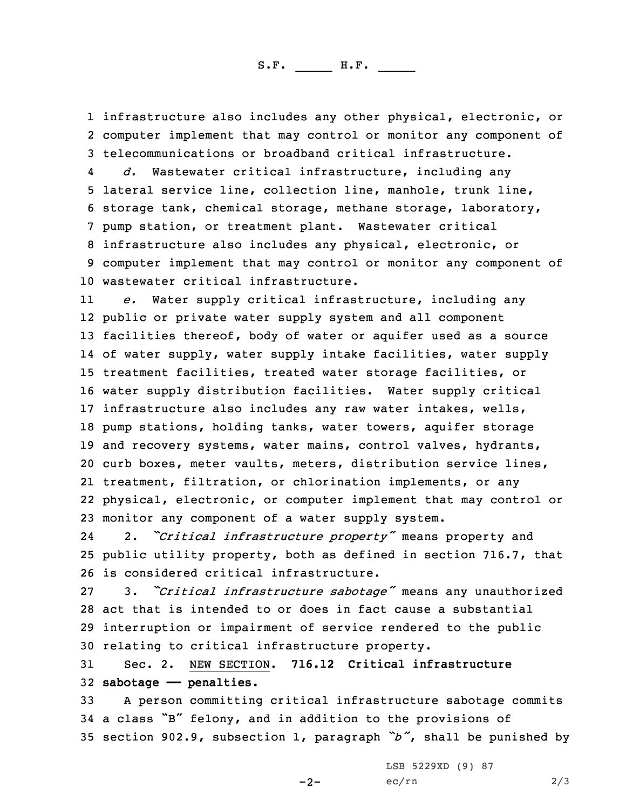S.F. \_\_\_\_\_ H.F. \_\_\_\_

1 infrastructure also includes any other physical, electronic, or 2 computer implement that may control or monitor any component of 3 telecommunications or broadband critical infrastructure.

4 *d.* Wastewater critical infrastructure, including any lateral service line, collection line, manhole, trunk line, storage tank, chemical storage, methane storage, laboratory, pump station, or treatment plant. Wastewater critical infrastructure also includes any physical, electronic, or computer implement that may control or monitor any component of wastewater critical infrastructure.

11 *e.* Water supply critical infrastructure, including any public or private water supply system and all component facilities thereof, body of water or aquifer used as <sup>a</sup> source of water supply, water supply intake facilities, water supply treatment facilities, treated water storage facilities, or water supply distribution facilities. Water supply critical infrastructure also includes any raw water intakes, wells, pump stations, holding tanks, water towers, aquifer storage and recovery systems, water mains, control valves, hydrants, curb boxes, meter vaults, meters, distribution service lines, treatment, filtration, or chlorination implements, or any physical, electronic, or computer implement that may control or monitor any component of <sup>a</sup> water supply system.

24 2. *"Critical infrastructure property"* means property and 25 public utility property, both as defined in section 716.7, that 26 is considered critical infrastructure.

 3. *"Critical infrastructure sabotage"* means any unauthorized act that is intended to or does in fact cause <sup>a</sup> substantial interruption or impairment of service rendered to the public relating to critical infrastructure property.

31 Sec. 2. NEW SECTION. **716.12 Critical infrastructure** 32 **sabotage —— penalties.**

33 <sup>A</sup> person committing critical infrastructure sabotage commits <sup>34</sup> <sup>a</sup> class "B" felony, and in addition to the provisions of <sup>35</sup> section 902.9, subsection 1, paragraph *"b"*, shall be punished by

 $-2-$ 

LSB 5229XD (9) 87  $ec/rn$  2/3